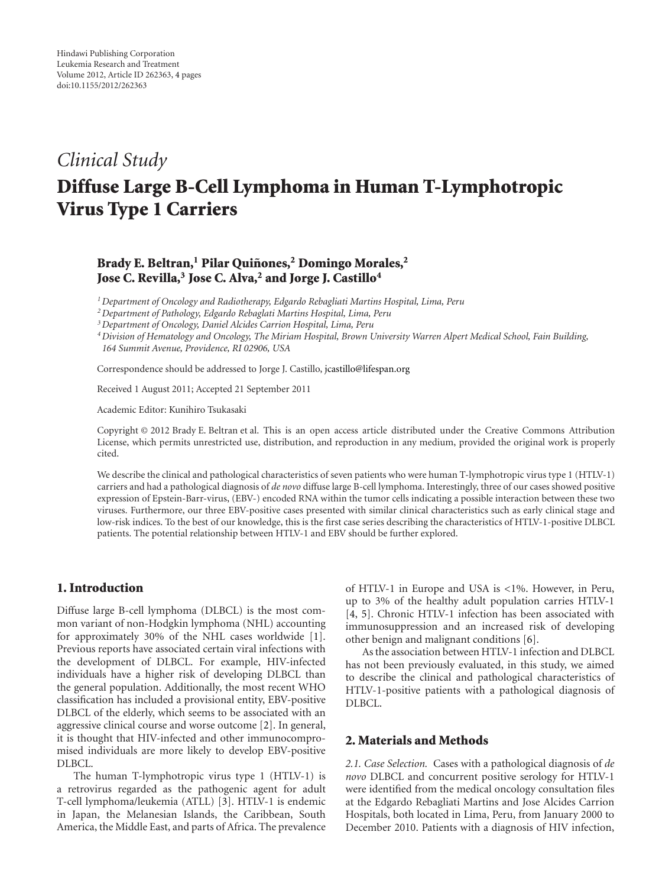# *Clinical Study*

# **Diffuse Large B-Cell Lymphoma in Human T-Lymphotropic Virus Type 1 Carriers**

# **Brady E. Beltran,1 Pilar Quinones, ˜ <sup>2</sup> Domingo Morales,2 Jose C. Revilla,3 Jose C. Alva,2 and Jorge J. Castillo4**

*1Department of Oncology and Radiotherapy, Edgardo Rebagliati Martins Hospital, Lima, Peru*

*2Department of Pathology, Edgardo Rebaglati Martins Hospital, Lima, Peru*

*3Department of Oncology, Daniel Alcides Carrion Hospital, Lima, Peru*

*4Division of Hematology and Oncology, The Miriam Hospital, Brown University Warren Alpert Medical School, Fain Building, 164 Summit Avenue, Providence, RI 02906, USA*

Correspondence should be addressed to Jorge J. Castillo, jcastillo@lifespan.org

Received 1 August 2011; Accepted 21 September 2011

Academic Editor: Kunihiro Tsukasaki

Copyright © 2012 Brady E. Beltran et al. This is an open access article distributed under the Creative Commons Attribution License, which permits unrestricted use, distribution, and reproduction in any medium, provided the original work is properly cited.

We describe the clinical and pathological characteristics of seven patients who were human T-lymphotropic virus type 1 (HTLV-1) carriers and had a pathological diagnosis of *de novo* diffuse large B-cell lymphoma. Interestingly, three of our cases showed positive expression of Epstein-Barr-virus, (EBV-) encoded RNA within the tumor cells indicating a possible interaction between these two viruses. Furthermore, our three EBV-positive cases presented with similar clinical characteristics such as early clinical stage and low-risk indices. To the best of our knowledge, this is the first case series describing the characteristics of HTLV-1-positive DLBCL patients. The potential relationship between HTLV-1 and EBV should be further explored.

## **1. Introduction**

Diffuse large B-cell lymphoma (DLBCL) is the most common variant of non-Hodgkin lymphoma (NHL) accounting for approximately 30% of the NHL cases worldwide [1]. Previous reports have associated certain viral infections with the development of DLBCL. For example, HIV-infected individuals have a higher risk of developing DLBCL than the general population. Additionally, the most recent WHO classification has included a provisional entity, EBV-positive DLBCL of the elderly, which seems to be associated with an aggressive clinical course and worse outcome [2]. In general, it is thought that HIV-infected and other immunocompromised individuals are more likely to develop EBV-positive DLBCL.

The human T-lymphotropic virus type 1 (HTLV-1) is a retrovirus regarded as the pathogenic agent for adult T-cell lymphoma/leukemia (ATLL) [3]. HTLV-1 is endemic in Japan, the Melanesian Islands, the Caribbean, South America, the Middle East, and parts of Africa. The prevalence of HTLV-1 in Europe and USA is *<*1%. However, in Peru, up to 3% of the healthy adult population carries HTLV-1 [4, 5]. Chronic HTLV-1 infection has been associated with immunosuppression and an increased risk of developing other benign and malignant conditions [6].

As the association between HTLV-1 infection and DLBCL has not been previously evaluated, in this study, we aimed to describe the clinical and pathological characteristics of HTLV-1-positive patients with a pathological diagnosis of DLBCL.

## **2. Materials and Methods**

*2.1. Case Selection.* Cases with a pathological diagnosis of *de novo* DLBCL and concurrent positive serology for HTLV-1 were identified from the medical oncology consultation files at the Edgardo Rebagliati Martins and Jose Alcides Carrion Hospitals, both located in Lima, Peru, from January 2000 to December 2010. Patients with a diagnosis of HIV infection,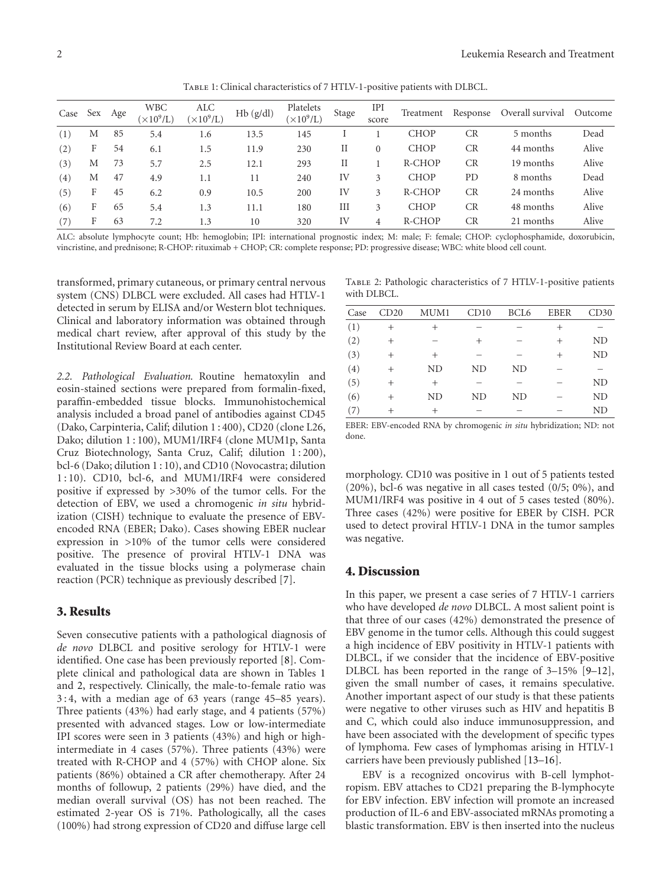Table 1: Clinical characteristics of 7 HTLV-1-positive patients with DLBCL.

| Case | Sex | Age | <b>WBC</b><br>$(\times 10^9$ /L) | ALC<br>$(\times 10^9$ /L) | Hb(g/dl) | Platelets<br>$(\times 10^9$ /L) | Stage | IPI<br>score | Treatment   | Response  | Overall survival | Outcome |
|------|-----|-----|----------------------------------|---------------------------|----------|---------------------------------|-------|--------------|-------------|-----------|------------------|---------|
| (1)  | М   | 85  | 5.4                              | 1.6                       | 13.5     | 145                             |       |              | <b>CHOP</b> | <b>CR</b> | 5 months         | Dead    |
| (2)  | F   | 54  | 6.1                              | 1.5                       | 11.9     | 230                             | П     | $\Omega$     | <b>CHOP</b> | <b>CR</b> | 44 months        | Alive   |
| (3)  | М   | 73  | 5.7                              | 2.5                       | 12.1     | 293                             | П     |              | R-CHOP      | CR        | 19 months        | Alive   |
| (4)  | М   | 47  | 4.9                              | 1.1                       | 11       | 240                             | IV    | 3            | <b>CHOP</b> | PD        | 8 months         | Dead    |
| (5)  | F   | 45  | 6.2                              | 0.9                       | 10.5     | 200                             | IV    | 3            | R-CHOP      | CR        | 24 months        | Alive   |
| (6)  | F   | 65  | 5.4                              | 1.3                       | 11.1     | 180                             | III   | 3            | <b>CHOP</b> | CR        | 48 months        | Alive   |
|      | F   | 63  | 7.2                              | 1.3                       | 10       | 320                             | IV    | 4            | R-CHOP      | <b>CR</b> | 21 months        | Alive   |

ALC: absolute lymphocyte count; Hb: hemoglobin; IPI: international prognostic index; M: male; F: female; CHOP: cyclophosphamide, doxorubicin, vincristine, and prednisone; R-CHOP: rituximab + CHOP; CR: complete response; PD: progressive disease; WBC: white blood cell count.

transformed, primary cutaneous, or primary central nervous system (CNS) DLBCL were excluded. All cases had HTLV-1 detected in serum by ELISA and/or Western blot techniques. Clinical and laboratory information was obtained through medical chart review, after approval of this study by the Institutional Review Board at each center.

*2.2. Pathological Evaluation.* Routine hematoxylin and eosin-stained sections were prepared from formalin-fixed, paraffin-embedded tissue blocks. Immunohistochemical analysis included a broad panel of antibodies against CD45 (Dako, Carpinteria, Calif; dilution 1 : 400), CD20 (clone L26, Dako; dilution 1 : 100), MUM1/IRF4 (clone MUM1p, Santa Cruz Biotechnology, Santa Cruz, Calif; dilution 1 : 200), bcl-6 (Dako; dilution 1 : 10), and CD10 (Novocastra; dilution 1 : 10). CD10, bcl-6, and MUM1/IRF4 were considered positive if expressed by *>*30% of the tumor cells. For the detection of EBV, we used a chromogenic *in situ* hybridization (CISH) technique to evaluate the presence of EBVencoded RNA (EBER; Dako). Cases showing EBER nuclear expression in *>*10% of the tumor cells were considered positive. The presence of proviral HTLV-1 DNA was evaluated in the tissue blocks using a polymerase chain reaction (PCR) technique as previously described [7].

#### **3. Results**

Seven consecutive patients with a pathological diagnosis of *de novo* DLBCL and positive serology for HTLV-1 were identified. One case has been previously reported [8]. Complete clinical and pathological data are shown in Tables 1 and 2, respectively. Clinically, the male-to-female ratio was 3 : 4, with a median age of 63 years (range 45–85 years). Three patients (43%) had early stage, and 4 patients (57%) presented with advanced stages. Low or low-intermediate IPI scores were seen in 3 patients (43%) and high or highintermediate in 4 cases (57%). Three patients (43%) were treated with R-CHOP and 4 (57%) with CHOP alone. Six patients (86%) obtained a CR after chemotherapy. After 24 months of followup, 2 patients (29%) have died, and the median overall survival (OS) has not been reached. The estimated 2-year OS is 71%. Pathologically, all the cases (100%) had strong expression of CD20 and diffuse large cell

Table 2: Pathologic characteristics of 7 HTLV-1-positive patients with DLBCL.

| (1)<br>$^{+}$<br>$^{+}$<br>$^{+}$<br>(2)<br>N <sub>D</sub><br>$^{+}$<br>$^{+}$<br>$^{+}$<br>(3)<br>N <sub>D</sub><br>$^{+}$<br>$^{+}$<br>$\pm$<br>(4)<br>N <sub>D</sub><br>N <sub>D</sub><br>ND<br>$^{+}$<br>(5)<br>N <sub>D</sub><br>$^{+}$<br>$^+$<br>(6)<br>N <sub>D</sub><br>N <sub>D</sub><br>N <sub>D</sub><br>ND<br>$^{+}$<br>(7)<br>N <sub>D</sub><br>$^+$<br>$^+$ | Case | CD20 | MUM1 | CD10 | BCL <sub>6</sub> | <b>EBER</b> | CD30 |
|----------------------------------------------------------------------------------------------------------------------------------------------------------------------------------------------------------------------------------------------------------------------------------------------------------------------------------------------------------------------------|------|------|------|------|------------------|-------------|------|
|                                                                                                                                                                                                                                                                                                                                                                            |      |      |      |      |                  |             |      |
|                                                                                                                                                                                                                                                                                                                                                                            |      |      |      |      |                  |             |      |
|                                                                                                                                                                                                                                                                                                                                                                            |      |      |      |      |                  |             |      |
|                                                                                                                                                                                                                                                                                                                                                                            |      |      |      |      |                  |             |      |
|                                                                                                                                                                                                                                                                                                                                                                            |      |      |      |      |                  |             |      |
|                                                                                                                                                                                                                                                                                                                                                                            |      |      |      |      |                  |             |      |
|                                                                                                                                                                                                                                                                                                                                                                            |      |      |      |      |                  |             |      |

EBER: EBV-encoded RNA by chromogenic *in situ* hybridization; ND: not done.

morphology. CD10 was positive in 1 out of 5 patients tested (20%), bcl-6 was negative in all cases tested (0/5; 0%), and MUM1/IRF4 was positive in 4 out of 5 cases tested (80%). Three cases (42%) were positive for EBER by CISH. PCR used to detect proviral HTLV-1 DNA in the tumor samples was negative.

#### **4. Discussion**

In this paper, we present a case series of 7 HTLV-1 carriers who have developed *de novo* DLBCL. A most salient point is that three of our cases (42%) demonstrated the presence of EBV genome in the tumor cells. Although this could suggest a high incidence of EBV positivity in HTLV-1 patients with DLBCL, if we consider that the incidence of EBV-positive DLBCL has been reported in the range of 3–15% [9–12], given the small number of cases, it remains speculative. Another important aspect of our study is that these patients were negative to other viruses such as HIV and hepatitis B and C, which could also induce immunosuppression, and have been associated with the development of specific types of lymphoma. Few cases of lymphomas arising in HTLV-1 carriers have been previously published [13–16].

EBV is a recognized oncovirus with B-cell lymphotropism. EBV attaches to CD21 preparing the B-lymphocyte for EBV infection. EBV infection will promote an increased production of IL-6 and EBV-associated mRNAs promoting a blastic transformation. EBV is then inserted into the nucleus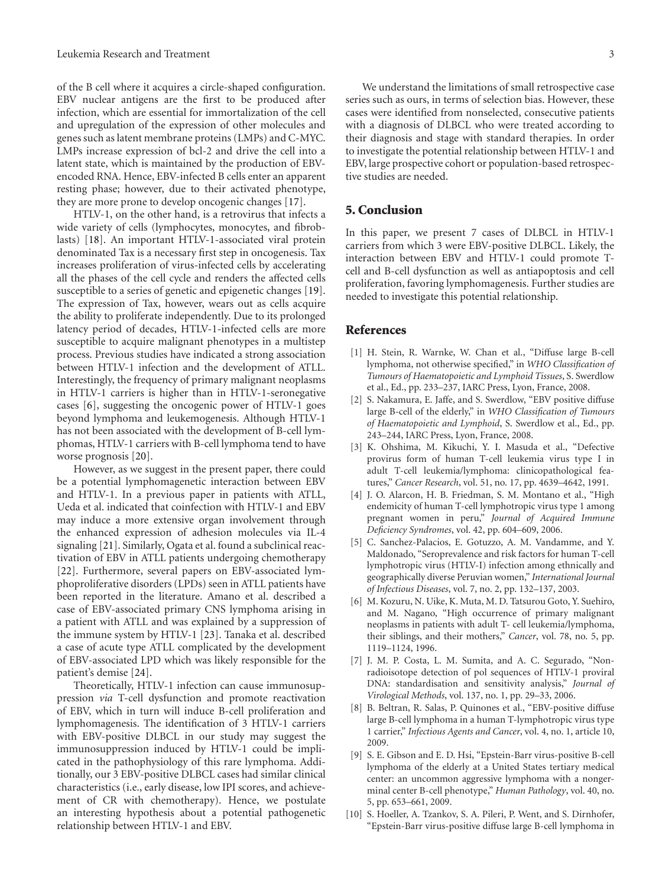of the B cell where it acquires a circle-shaped configuration. EBV nuclear antigens are the first to be produced after infection, which are essential for immortalization of the cell and upregulation of the expression of other molecules and genes such as latent membrane proteins (LMPs) and C-MYC. LMPs increase expression of bcl-2 and drive the cell into a latent state, which is maintained by the production of EBVencoded RNA. Hence, EBV-infected B cells enter an apparent resting phase; however, due to their activated phenotype, they are more prone to develop oncogenic changes [17].

HTLV-1, on the other hand, is a retrovirus that infects a wide variety of cells (lymphocytes, monocytes, and fibroblasts) [18]. An important HTLV-1-associated viral protein denominated Tax is a necessary first step in oncogenesis. Tax increases proliferation of virus-infected cells by accelerating all the phases of the cell cycle and renders the affected cells susceptible to a series of genetic and epigenetic changes [19]. The expression of Tax, however, wears out as cells acquire the ability to proliferate independently. Due to its prolonged latency period of decades, HTLV-1-infected cells are more susceptible to acquire malignant phenotypes in a multistep process. Previous studies have indicated a strong association between HTLV-1 infection and the development of ATLL. Interestingly, the frequency of primary malignant neoplasms in HTLV-1 carriers is higher than in HTLV-1-seronegative cases [6], suggesting the oncogenic power of HTLV-1 goes beyond lymphoma and leukemogenesis. Although HTLV-1 has not been associated with the development of B-cell lymphomas, HTLV-1 carriers with B-cell lymphoma tend to have worse prognosis [20].

However, as we suggest in the present paper, there could be a potential lymphomagenetic interaction between EBV and HTLV-1. In a previous paper in patients with ATLL, Ueda et al. indicated that coinfection with HTLV-1 and EBV may induce a more extensive organ involvement through the enhanced expression of adhesion molecules via IL-4 signaling [21]. Similarly, Ogata et al. found a subclinical reactivation of EBV in ATLL patients undergoing chemotherapy [22]. Furthermore, several papers on EBV-associated lymphoproliferative disorders (LPDs) seen in ATLL patients have been reported in the literature. Amano et al. described a case of EBV-associated primary CNS lymphoma arising in a patient with ATLL and was explained by a suppression of the immune system by HTLV-1 [23]. Tanaka et al. described a case of acute type ATLL complicated by the development of EBV-associated LPD which was likely responsible for the patient's demise [24].

Theoretically, HTLV-1 infection can cause immunosuppression *via* T-cell dysfunction and promote reactivation of EBV, which in turn will induce B-cell proliferation and lymphomagenesis. The identification of 3 HTLV-1 carriers with EBV-positive DLBCL in our study may suggest the immunosuppression induced by HTLV-1 could be implicated in the pathophysiology of this rare lymphoma. Additionally, our 3 EBV-positive DLBCL cases had similar clinical characteristics (i.e., early disease, low IPI scores, and achievement of CR with chemotherapy). Hence, we postulate an interesting hypothesis about a potential pathogenetic relationship between HTLV-1 and EBV.

We understand the limitations of small retrospective case series such as ours, in terms of selection bias. However, these cases were identified from nonselected, consecutive patients with a diagnosis of DLBCL who were treated according to their diagnosis and stage with standard therapies. In order to investigate the potential relationship between HTLV-1 and EBV, large prospective cohort or population-based retrospective studies are needed.

#### **5. Conclusion**

In this paper, we present 7 cases of DLBCL in HTLV-1 carriers from which 3 were EBV-positive DLBCL. Likely, the interaction between EBV and HTLV-1 could promote Tcell and B-cell dysfunction as well as antiapoptosis and cell proliferation, favoring lymphomagenesis. Further studies are needed to investigate this potential relationship.

#### **References**

- [1] H. Stein, R. Warnke, W. Chan et al., "Diffuse large B-cell lymphoma, not otherwise specified," in *WHO Classification of Tumours of Haematopoietic and Lymphoid Tissues*, S. Swerdlow et al., Ed., pp. 233–237, IARC Press, Lyon, France, 2008.
- [2] S. Nakamura, E. Jaffe, and S. Swerdlow, "EBV positive diffuse large B-cell of the elderly," in *WHO Classification of Tumours of Haematopoietic and Lymphoid*, S. Swerdlow et al., Ed., pp. 243–244, IARC Press, Lyon, France, 2008.
- [3] K. Ohshima, M. Kikuchi, Y. I. Masuda et al., "Defective provirus form of human T-cell leukemia virus type I in adult T-cell leukemia/lymphoma: clinicopathological features," *Cancer Research*, vol. 51, no. 17, pp. 4639–4642, 1991.
- [4] J. O. Alarcon, H. B. Friedman, S. M. Montano et al., "High endemicity of human T-cell lymphotropic virus type 1 among pregnant women in peru," *Journal of Acquired Immune Deficiency Syndromes*, vol. 42, pp. 604–609, 2006.
- [5] C. Sanchez-Palacios, E. Gotuzzo, A. M. Vandamme, and Y. Maldonado, "Seroprevalence and risk factors for human T-cell lymphotropic virus (HTLV-I) infection among ethnically and geographically diverse Peruvian women," *International Journal of Infectious Diseases*, vol. 7, no. 2, pp. 132–137, 2003.
- [6] M. Kozuru, N. Uike, K. Muta, M. D. Tatsurou Goto, Y. Suehiro, and M. Nagano, "High occurrence of primary malignant neoplasms in patients with adult T- cell leukemia/lymphoma, their siblings, and their mothers," *Cancer*, vol. 78, no. 5, pp. 1119–1124, 1996.
- [7] J. M. P. Costa, L. M. Sumita, and A. C. Segurado, "Nonradioisotope detection of pol sequences of HTLV-1 proviral DNA: standardisation and sensitivity analysis," *Journal of Virological Methods*, vol. 137, no. 1, pp. 29–33, 2006.
- [8] B. Beltran, R. Salas, P. Quinones et al., "EBV-positive diffuse large B-cell lymphoma in a human T-lymphotropic virus type 1 carrier," *Infectious Agents and Cancer*, vol. 4, no. 1, article 10, 2009.
- [9] S. E. Gibson and E. D. Hsi, "Epstein-Barr virus-positive B-cell lymphoma of the elderly at a United States tertiary medical center: an uncommon aggressive lymphoma with a nongerminal center B-cell phenotype," *Human Pathology*, vol. 40, no. 5, pp. 653–661, 2009.
- [10] S. Hoeller, A. Tzankov, S. A. Pileri, P. Went, and S. Dirnhofer, "Epstein-Barr virus-positive diffuse large B-cell lymphoma in